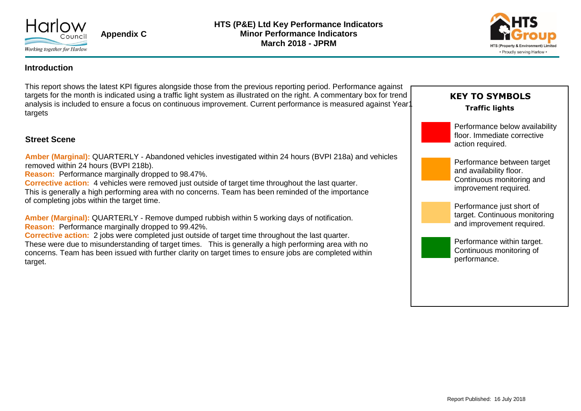

**Appendix C**



### **Introduction**

This report shows the latest KPI figures alongside those from the previous reporting period. Performance against targets for the month is indicated using a traffic light system as illustrated on the right. A commentary box for trend analysis is included to ensure a focus on continuous improvement. Current performance is measured against Year targets

### **Street Scene**

**Amber (Marginal):** QUARTERLY - Abandoned vehicles investigated within 24 hours (BVPI 218a) and vehicles removed within 24 hours (BVPI 218b).

**Reason:** Performance marginally dropped to 98.47%.

**Corrective action:** 4 vehicles were removed just outside of target time throughout the last quarter. This is generally a high performing area with no concerns. Team has been reminded of the importance of completing jobs within the target time.

**Amber (Marginal):** QUARTERLY - Remove dumped rubbish within 5 working days of notification. **Reason:** Performance marginally dropped to 99.42%.

**Corrective action:** 2 jobs were completed just outside of target time throughout the last quarter. These were due to misunderstanding of target times. This is generally a high performing area with no concerns. Team has been issued with further clarity on target times to ensure jobs are completed within target.

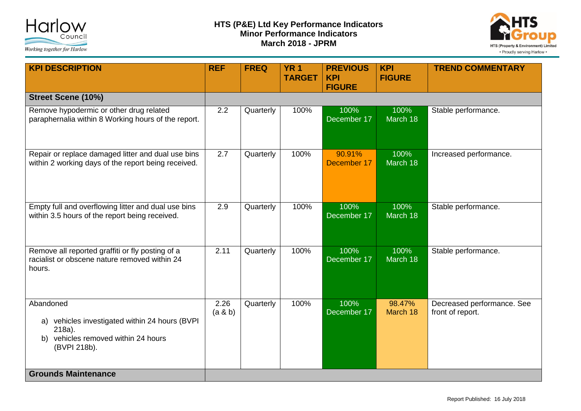



| <b>KPI DESCRIPTION</b>                                                                                                       | <b>REF</b>       | <b>FREQ</b> | <b>YR1</b><br><b>TARGET</b> | <b>PREVIOUS</b><br><b>KPI</b><br><b>FIGURE</b> | <b>KPI</b><br><b>FIGURE</b> | <b>TREND COMMENTARY</b>                        |
|------------------------------------------------------------------------------------------------------------------------------|------------------|-------------|-----------------------------|------------------------------------------------|-----------------------------|------------------------------------------------|
| <b>Street Scene (10%)</b>                                                                                                    |                  |             |                             |                                                |                             |                                                |
| Remove hypodermic or other drug related<br>paraphernalia within 8 Working hours of the report.                               | 2.2              | Quarterly   | 100%                        | 100%<br>December 17                            | 100%<br>March 18            | Stable performance.                            |
| Repair or replace damaged litter and dual use bins<br>within 2 working days of the report being received.                    | $\overline{2.7}$ | Quarterly   | 100%                        | 90.91%<br>December 17                          | 100%<br>March 18            | Increased performance.                         |
| Empty full and overflowing litter and dual use bins<br>within 3.5 hours of the report being received.                        | 2.9              | Quarterly   | 100%                        | 100%<br>December 17                            | 100%<br>March 18            | Stable performance.                            |
| Remove all reported graffiti or fly posting of a<br>racialist or obscene nature removed within 24<br>hours.                  | 2.11             | Quarterly   | 100%                        | 100%<br>December 17                            | 100%<br>March 18            | Stable performance.                            |
| Abandoned<br>a) vehicles investigated within 24 hours (BVPI<br>218a).<br>b) vehicles removed within 24 hours<br>(BVPI 218b). | 2.26<br>(a & b)  | Quarterly   | 100%                        | 100%<br>December 17                            | 98.47%<br>March 18          | Decreased performance. See<br>front of report. |
| <b>Grounds Maintenance</b>                                                                                                   |                  |             |                             |                                                |                             |                                                |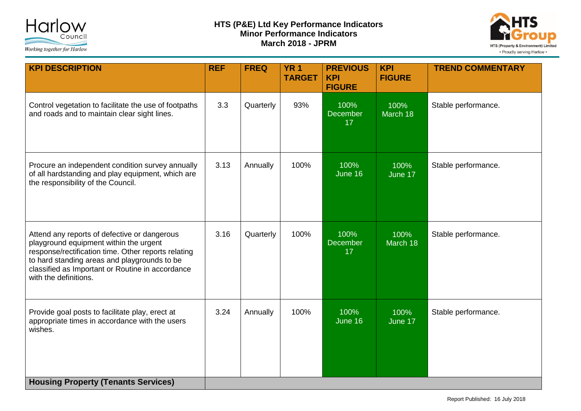

# **HTS (P&E) Ltd Key Performance Indicators Minor Performance Indicators March 2018 - JPRM**



| <b>KPI DESCRIPTION</b>                                                                                                                                                                                                                                                     | <b>REF</b> | <b>FREQ</b> | <b>YR1</b><br><b>TARGET</b> | <b>PREVIOUS</b><br><b>KPI</b>           | <b>KPI</b><br><b>FIGURE</b> | <b>TREND COMMENTARY</b> |
|----------------------------------------------------------------------------------------------------------------------------------------------------------------------------------------------------------------------------------------------------------------------------|------------|-------------|-----------------------------|-----------------------------------------|-----------------------------|-------------------------|
| Control vegetation to facilitate the use of footpaths<br>and roads and to maintain clear sight lines.                                                                                                                                                                      | 3.3        | Quarterly   | 93%                         | <b>FIGURE</b><br>100%<br>December<br>17 | 100%<br>March 18            | Stable performance.     |
| Procure an independent condition survey annually<br>of all hardstanding and play equipment, which are<br>the responsibility of the Council.                                                                                                                                | 3.13       | Annually    | 100%                        | 100%<br>June 16                         | 100%<br>June 17             | Stable performance.     |
| Attend any reports of defective or dangerous<br>playground equipment within the urgent<br>response/rectification time. Other reports relating<br>to hard standing areas and playgrounds to be<br>classified as Important or Routine in accordance<br>with the definitions. | 3.16       | Quarterly   | 100%                        | 100%<br><b>December</b><br>17           | 100%<br>March 18            | Stable performance.     |
| Provide goal posts to facilitate play, erect at<br>appropriate times in accordance with the users<br>wishes.                                                                                                                                                               | 3.24       | Annually    | 100%                        | 100%<br>June 16                         | 100%<br>June 17             | Stable performance.     |
| <b>Housing Property (Tenants Services)</b>                                                                                                                                                                                                                                 |            |             |                             |                                         |                             |                         |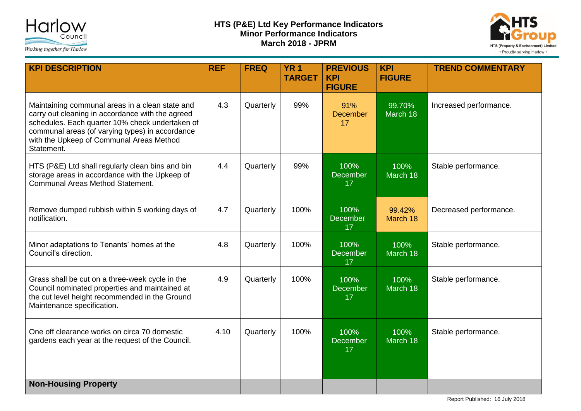

# **HTS (P&E) Ltd Key Performance Indicators Minor Performance Indicators March 2018 - JPRM**



| <b>KPI DESCRIPTION</b>                                                                                                                                                                                                                                              | <b>REF</b> | <b>FREQ</b> | <b>YR1</b><br><b>TARGET</b> | <b>PREVIOUS</b><br><b>KPI</b><br><b>FIGURE</b> | <b>KPI</b><br><b>FIGURE</b> | <b>TREND COMMENTARY</b> |
|---------------------------------------------------------------------------------------------------------------------------------------------------------------------------------------------------------------------------------------------------------------------|------------|-------------|-----------------------------|------------------------------------------------|-----------------------------|-------------------------|
| Maintaining communal areas in a clean state and<br>carry out cleaning in accordance with the agreed<br>schedules. Each quarter 10% check undertaken of<br>communal areas (of varying types) in accordance<br>with the Upkeep of Communal Areas Method<br>Statement. | 4.3        | Quarterly   | 99%                         | 91%<br>December<br>17                          | 99.70%<br>March 18          | Increased performance.  |
| HTS (P&E) Ltd shall regularly clean bins and bin<br>storage areas in accordance with the Upkeep of<br>Communal Areas Method Statement.                                                                                                                              | 4.4        | Quarterly   | 99%                         | 100%<br><b>December</b><br>17                  | 100%<br>March 18            | Stable performance.     |
| Remove dumped rubbish within 5 working days of<br>notification.                                                                                                                                                                                                     | 4.7        | Quarterly   | 100%                        | 100%<br><b>December</b><br>17                  | 99.42%<br>March 18          | Decreased performance.  |
| Minor adaptations to Tenants' homes at the<br>Council's direction.                                                                                                                                                                                                  | 4.8        | Quarterly   | 100%                        | 100%<br><b>December</b><br>17                  | 100%<br>March 18            | Stable performance.     |
| Grass shall be cut on a three-week cycle in the<br>Council nominated properties and maintained at<br>the cut level height recommended in the Ground<br>Maintenance specification.                                                                                   | 4.9        | Quarterly   | 100%                        | 100%<br>December<br>17                         | 100%<br>March 18            | Stable performance.     |
| One off clearance works on circa 70 domestic<br>gardens each year at the request of the Council.                                                                                                                                                                    | 4.10       | Quarterly   | 100%                        | 100%<br><b>December</b><br>17                  | 100%<br>March 18            | Stable performance.     |
| <b>Non-Housing Property</b>                                                                                                                                                                                                                                         |            |             |                             |                                                |                             |                         |

Report Published: 16 July 2018